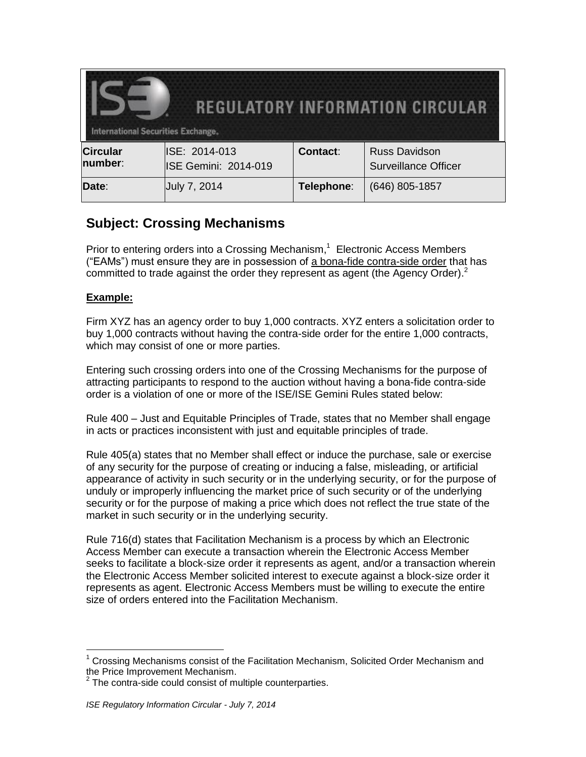| REGULATORY INFORMATION CIRCULAR<br><b>International Securities Exchange.</b> |                                              |            |                                                     |
|------------------------------------------------------------------------------|----------------------------------------------|------------|-----------------------------------------------------|
| <b>Circular</b><br>number:                                                   | ISE: 2014-013<br><b>ISE Gemini: 2014-019</b> | Contact:   | <b>Russ Davidson</b><br><b>Surveillance Officer</b> |
| Date:                                                                        | July 7, 2014                                 | Telephone: | (646) 805-1857                                      |

## **Subject: Crossing Mechanisms**

Prior to entering orders into a Crossing Mechanism,<sup>1</sup> Electronic Access Members ("EAMs") must ensure they are in possession of a bona-fide contra-side order that has committed to trade against the order they represent as agent (the Agency Order). $^2$ 

## **Example:**

 $\overline{a}$ 

Firm XYZ has an agency order to buy 1,000 contracts. XYZ enters a solicitation order to buy 1,000 contracts without having the contra-side order for the entire 1,000 contracts, which may consist of one or more parties.

Entering such crossing orders into one of the Crossing Mechanisms for the purpose of attracting participants to respond to the auction without having a bona-fide contra-side order is a violation of one or more of the ISE/ISE Gemini Rules stated below:

Rule 400 – Just and Equitable Principles of Trade, states that no Member shall engage in acts or practices inconsistent with just and equitable principles of trade.

Rule 405(a) states that no Member shall effect or induce the purchase, sale or exercise of any security for the purpose of creating or inducing a false, misleading, or artificial appearance of activity in such security or in the underlying security, or for the purpose of unduly or improperly influencing the market price of such security or of the underlying security or for the purpose of making a price which does not reflect the true state of the market in such security or in the underlying security.

Rule 716(d) states that Facilitation Mechanism is a process by which an Electronic Access Member can execute a transaction wherein the Electronic Access Member seeks to facilitate a block-size order it represents as agent, and/or a transaction wherein the Electronic Access Member solicited interest to execute against a block-size order it represents as agent. Electronic Access Members must be willing to execute the entire size of orders entered into the Facilitation Mechanism.

<sup>1</sup> Crossing Mechanisms consist of the Facilitation Mechanism, Solicited Order Mechanism and the Price Improvement Mechanism.<br><sup>2</sup> The contre aide apuld consist of m

 $\frac{1}{2}$  The contra-side could consist of multiple counterparties.